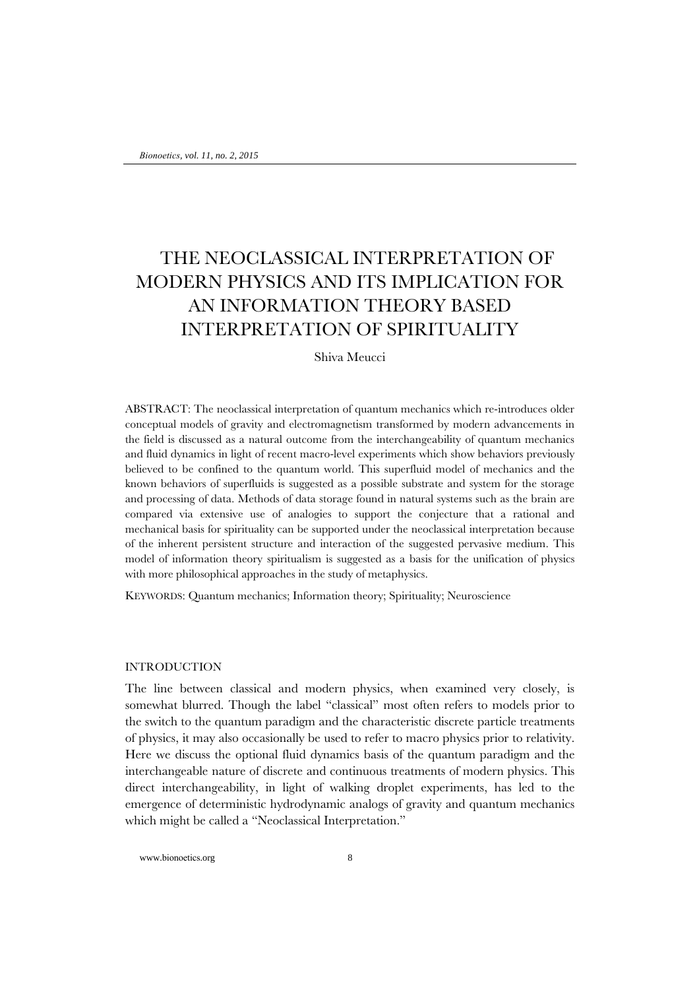# THE NEOCLASSICAL INTERPRETATION OF MODERN PHYSICS AND ITS IMPLICATION FOR AN INFORMATION THEORY BASED INTERPRETATION OF SPIRITUALITY

Shiva Meucci

ABSTRACT: The neoclassical interpretation of quantum mechanics which re-introduces older conceptual models of gravity and electromagnetism transformed by modern advancements in the field is discussed as a natural outcome from the interchangeability of quantum mechanics and fluid dynamics in light of recent macro-level experiments which show behaviors previously believed to be confined to the quantum world. This superfluid model of mechanics and the known behaviors of superfluids is suggested as a possible substrate and system for the storage and processing of data. Methods of data storage found in natural systems such as the brain are compared via extensive use of analogies to support the conjecture that a rational and mechanical basis for spirituality can be supported under the neoclassical interpretation because of the inherent persistent structure and interaction of the suggested pervasive medium. This model of information theory spiritualism is suggested as a basis for the unification of physics with more philosophical approaches in the study of metaphysics.

KEYWORDS: Quantum mechanics; Information theory; Spirituality; Neuroscience

#### INTRODUCTION

The line between classical and modern physics, when examined very closely, is somewhat blurred. Though the label "classical" most often refers to models prior to the switch to the quantum paradigm and the characteristic discrete particle treatments of physics, it may also occasionally be used to refer to macro physics prior to relativity. Here we discuss the optional fluid dynamics basis of the quantum paradigm and the interchangeable nature of discrete and continuous treatments of modern physics. This direct interchangeability, in light of walking droplet experiments, has led to the emergence of deterministic hydrodynamic analogs of gravity and quantum mechanics which might be called a "Neoclassical Interpretation."

www.bionoetics.org 8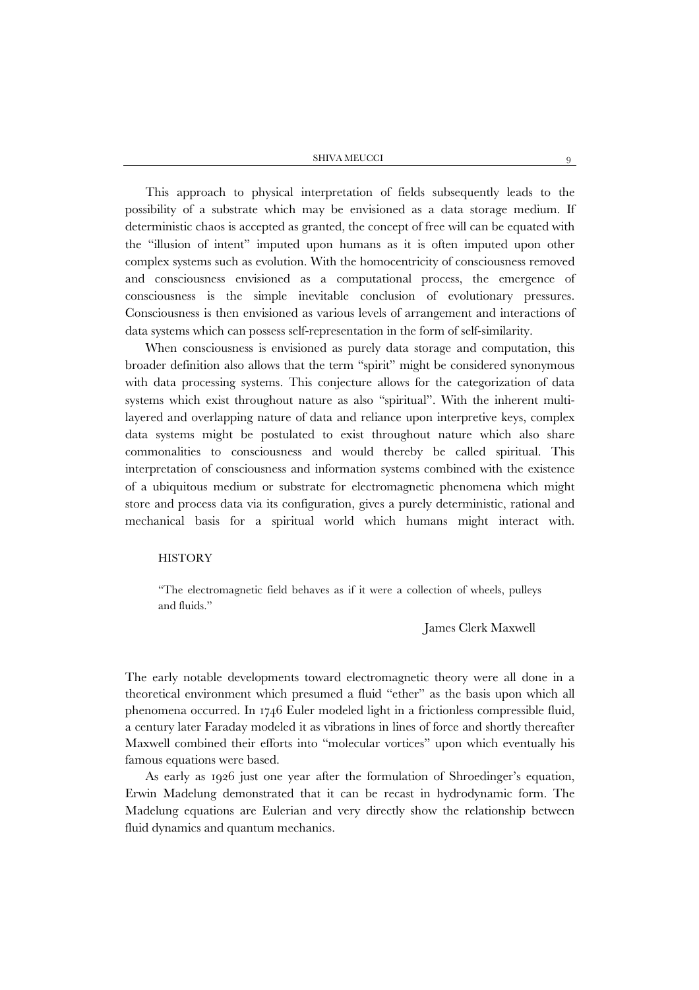SHIVA MEUCCI QUEBECA SHIVA MEUCCI

This approach to physical interpretation of fields subsequently leads to the possibility of a substrate which may be envisioned as a data storage medium. If deterministic chaos is accepted as granted, the concept of free will can be equated with the "illusion of intent" imputed upon humans as it is often imputed upon other complex systems such as evolution. With the homocentricity of consciousness removed and consciousness envisioned as a computational process, the emergence of consciousness is the simple inevitable conclusion of evolutionary pressures. Consciousness is then envisioned as various levels of arrangement and interactions of data systems which can possess self-representation in the form of self-similarity.

When consciousness is envisioned as purely data storage and computation, this broader definition also allows that the term "spirit" might be considered synonymous with data processing systems. This conjecture allows for the categorization of data systems which exist throughout nature as also "spiritual". With the inherent multilayered and overlapping nature of data and reliance upon interpretive keys, complex data systems might be postulated to exist throughout nature which also share commonalities to consciousness and would thereby be called spiritual. This interpretation of consciousness and information systems combined with the existence of a ubiquitous medium or substrate for electromagnetic phenomena which might store and process data via its configuration, gives a purely deterministic, rational and mechanical basis for a spiritual world which humans might interact with.

## **HISTORY**

"The electromagnetic field behaves as if it were a collection of wheels, pulleys and fluids."

## James Clerk Maxwell

The early notable developments toward electromagnetic theory were all done in a theoretical environment which presumed a fluid "ether" as the basis upon which all phenomena occurred. In 1746 Euler modeled light in a frictionless compressible fluid, a century later Faraday modeled it as vibrations in lines of force and shortly thereafter Maxwell combined their efforts into "molecular vortices" upon which eventually his famous equations were based.

As early as 1926 just one year after the formulation of Shroedinger's equation, Erwin Madelung demonstrated that it can be recast in hydrodynamic form. The Madelung equations are Eulerian and very directly show the relationship between fluid dynamics and quantum mechanics.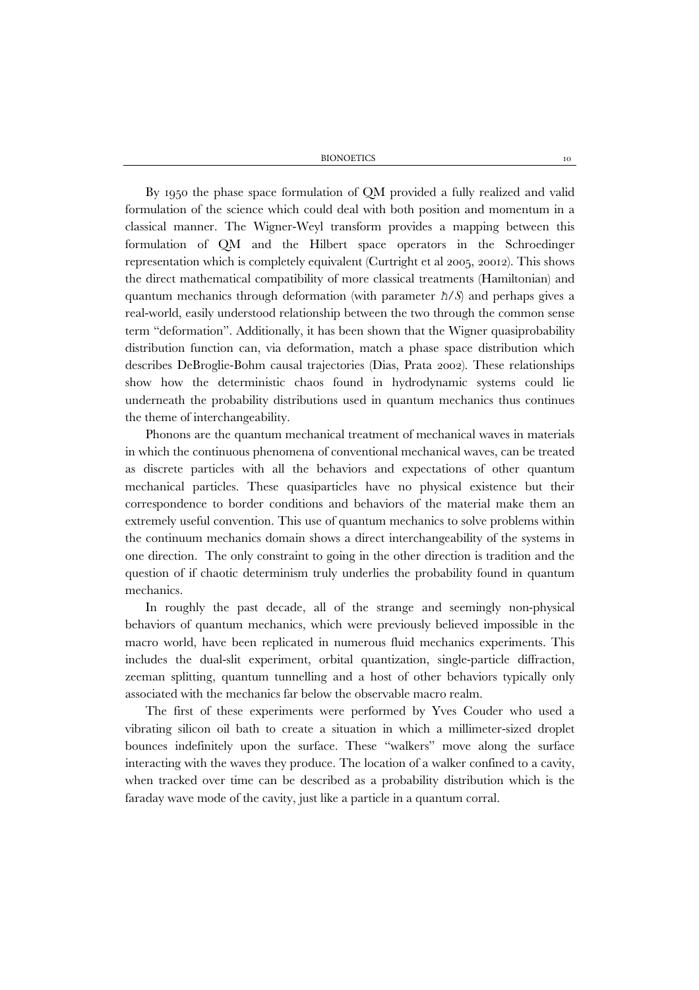By 1950 the phase space formulation of QM provided a fully realized and valid formulation of the science which could deal with both position and momentum in a classical manner. The Wigner-Weyl transform provides a mapping between this formulation of QM and the Hilbert space operators in the Schroedinger representation which is completely equivalent (Curtright et al 2005, 20012). This shows the direct mathematical compatibility of more classical treatments (Hamiltonian) and quantum mechanics through deformation (with parameter *ħ*/*S*) and perhaps gives a real-world, easily understood relationship between the two through the common sense term "deformation". Additionally, it has been shown that the Wigner quasiprobability distribution function can, via deformation, match a phase space distribution which describes DeBroglie-Bohm causal trajectories (Dias, Prata 2002). These relationships show how the deterministic chaos found in hydrodynamic systems could lie underneath the probability distributions used in quantum mechanics thus continues the theme of interchangeability.

Phonons are the quantum mechanical treatment of mechanical waves in materials in which the continuous phenomena of conventional mechanical waves, can be treated as discrete particles with all the behaviors and expectations of other quantum mechanical particles. These quasiparticles have no physical existence but their correspondence to border conditions and behaviors of the material make them an extremely useful convention. This use of quantum mechanics to solve problems within the continuum mechanics domain shows a direct interchangeability of the systems in one direction. The only constraint to going in the other direction is tradition and the question of if chaotic determinism truly underlies the probability found in quantum mechanics.

In roughly the past decade, all of the strange and seemingly non-physical behaviors of quantum mechanics, which were previously believed impossible in the macro world, have been replicated in numerous fluid mechanics experiments. This includes the dual-slit experiment, orbital quantization, single-particle diffraction, zeeman splitting, quantum tunnelling and a host of other behaviors typically only associated with the mechanics far below the observable macro realm.

The first of these experiments were performed by Yves Couder who used a vibrating silicon oil bath to create a situation in which a millimeter-sized droplet bounces indefinitely upon the surface. These "walkers" move along the surface interacting with the waves they produce. The location of a walker confined to a cavity, when tracked over time can be described as a probability distribution which is the faraday wave mode of the cavity, just like a particle in a quantum corral.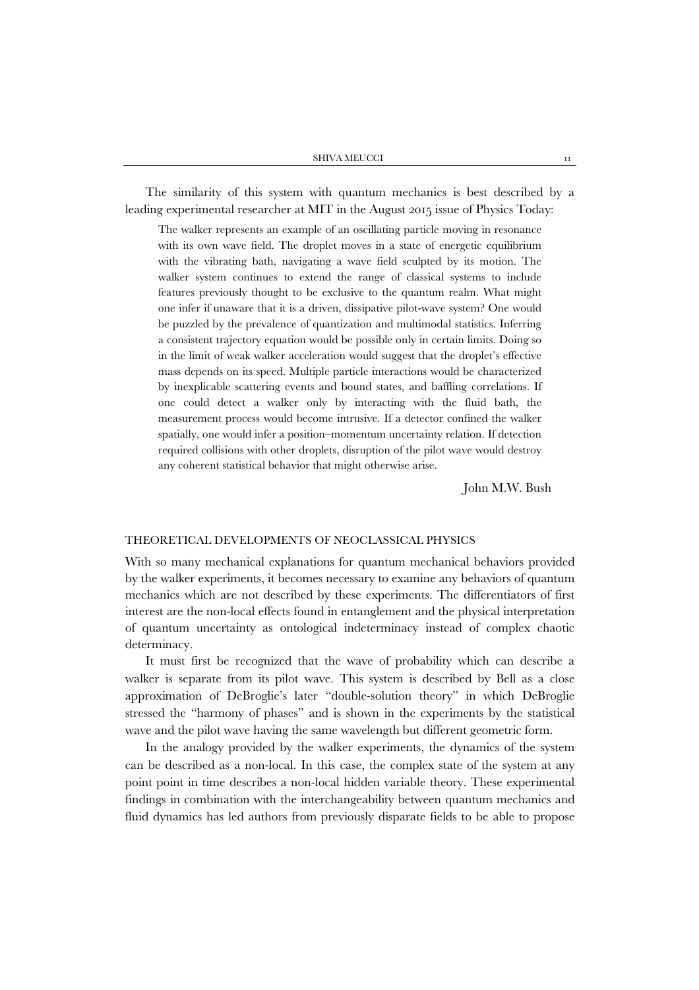The similarity of this system with quantum mechanics is best described by a leading experimental researcher at MIT in the August 2015 issue of Physics Today:

The walker represents an example of an oscillating particle moving in resonance with its own wave field. The droplet moves in a state of energetic equilibrium with the vibrating bath, navigating a wave field sculpted by its motion. The walker system continues to extend the range of classical systems to include features previously thought to be exclusive to the quantum realm. What might one infer if unaware that it is a driven, dissipative pilot-wave system? One would be puzzled by the prevalence of quantization and multimodal statistics. Inferring a consistent trajectory equation would be possible only in certain limits. Doing so in the limit of weak walker acceleration would suggest that the droplet's effective mass depends on its speed. Multiple particle interactions would be characterized by inexplicable scattering events and bound states, and baffling correlations. If one could detect a walker only by interacting with the fluid bath, the measurement process would become intrusive. If a detector confined the walker spatially, one would infer a position–momentum uncertainty relation. If detection required collisions with other droplets, disruption of the pilot wave would destroy any coherent statistical behavior that might otherwise arise.

John M.W. Bush

#### THEORETICAL DEVELOPMENTS OF NEOCLASSICAL PHYSICS

With so many mechanical explanations for quantum mechanical behaviors provided by the walker experiments, it becomes necessary to examine any behaviors of quantum mechanics which are not described by these experiments. The differentiators of first interest are the non-local effects found in entanglement and the physical interpretation of quantum uncertainty as ontological indeterminacy instead of complex chaotic determinacy.

It must first be recognized that the wave of probability which can describe a walker is separate from its pilot wave. This system is described by Bell as a close approximation of DeBroglie's later "double-solution theory" in which DeBroglie stressed the "harmony of phases" and is shown in the experiments by the statistical wave and the pilot wave having the same wavelength but different geometric form.

In the analogy provided by the walker experiments, the dynamics of the system can be described as a non-local. In this case, the complex state of the system at any point point in time describes a non-local hidden variable theory. These experimental findings in combination with the interchangeability between quantum mechanics and fluid dynamics has led authors from previously disparate fields to be able to propose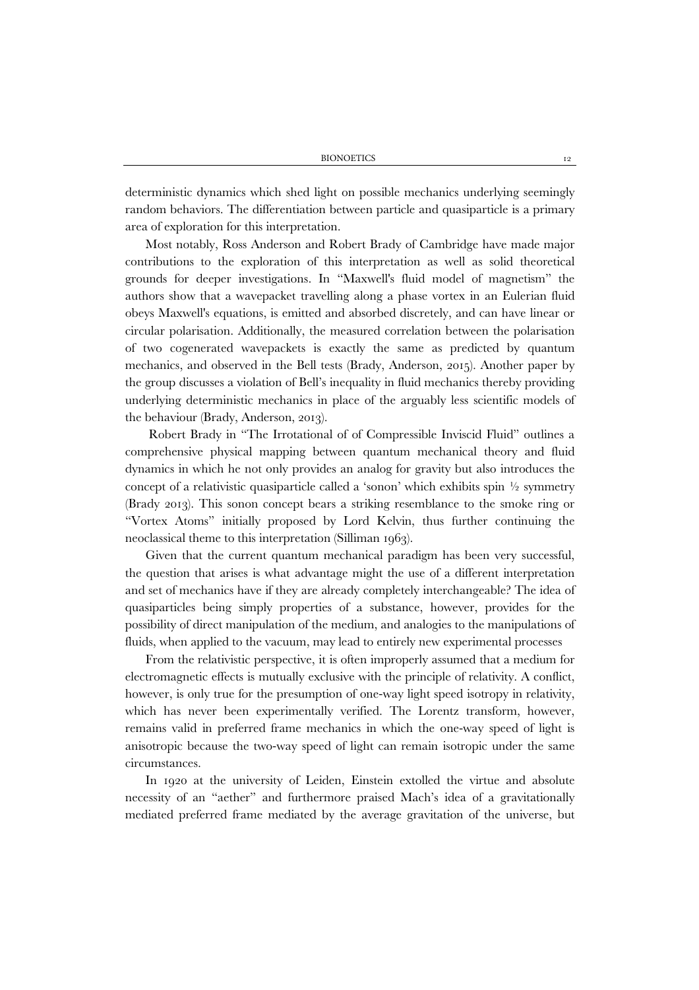deterministic dynamics which shed light on possible mechanics underlying seemingly random behaviors. The differentiation between particle and quasiparticle is a primary area of exploration for this interpretation.

Most notably, Ross Anderson and Robert Brady of Cambridge have made major contributions to the exploration of this interpretation as well as solid theoretical grounds for deeper investigations. In "Maxwell's fluid model of magnetism" the authors show that a wavepacket travelling along a phase vortex in an Eulerian fluid obeys Maxwell's equations, is emitted and absorbed discretely, and can have linear or circular polarisation. Additionally, the measured correlation between the polarisation of two cogenerated wavepackets is exactly the same as predicted by quantum mechanics, and observed in the Bell tests (Brady, Anderson, 2015). Another paper by the group discusses a violation of Bell's inequality in fluid mechanics thereby providing underlying deterministic mechanics in place of the arguably less scientific models of the behaviour (Brady, Anderson, 2013).

Robert Brady in "The Irrotational of of Compressible Inviscid Fluid" outlines a comprehensive physical mapping between quantum mechanical theory and fluid dynamics in which he not only provides an analog for gravity but also introduces the concept of a relativistic quasiparticle called a 'sonon' which exhibits spin  $\frac{1}{2}$  symmetry (Brady 2013). This sonon concept bears a striking resemblance to the smoke ring or "Vortex Atoms" initially proposed by Lord Kelvin, thus further continuing the neoclassical theme to this interpretation (Silliman 1963).

Given that the current quantum mechanical paradigm has been very successful, the question that arises is what advantage might the use of a different interpretation and set of mechanics have if they are already completely interchangeable? The idea of quasiparticles being simply properties of a substance, however, provides for the possibility of direct manipulation of the medium, and analogies to the manipulations of fluids, when applied to the vacuum, may lead to entirely new experimental processes

From the relativistic perspective, it is often improperly assumed that a medium for electromagnetic effects is mutually exclusive with the principle of relativity. A conflict, however, is only true for the presumption of one-way light speed isotropy in relativity, which has never been experimentally verified. The Lorentz transform, however, remains valid in preferred frame mechanics in which the one-way speed of light is anisotropic because the two-way speed of light can remain isotropic under the same circumstances.

In 1920 at the university of Leiden, Einstein extolled the virtue and absolute necessity of an "aether" and furthermore praised Mach's idea of a gravitationally mediated preferred frame mediated by the average gravitation of the universe, but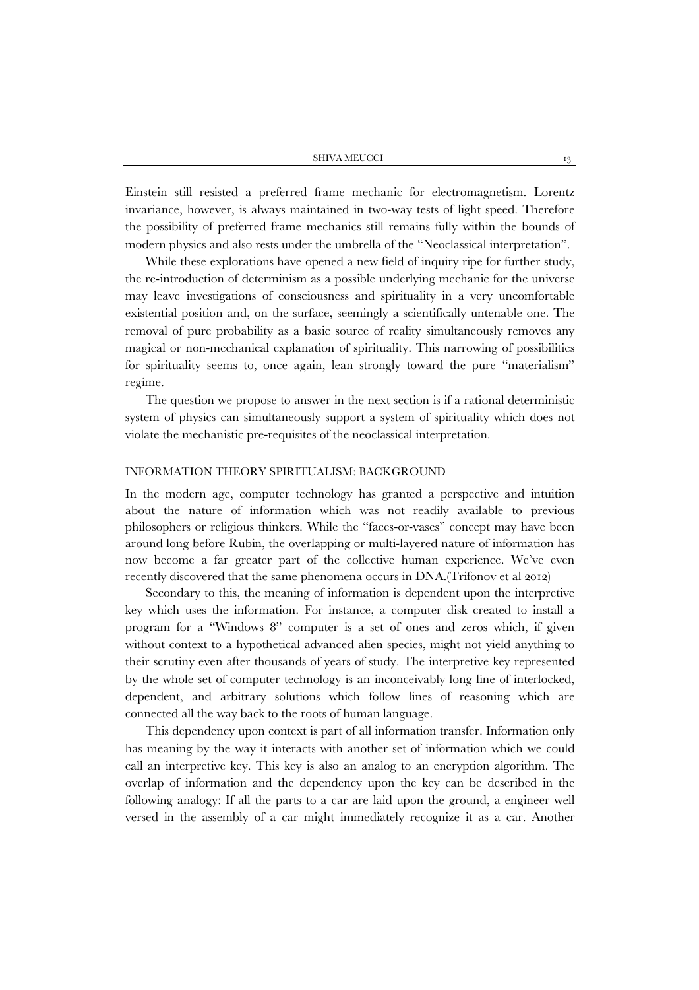Einstein still resisted a preferred frame mechanic for electromagnetism. Lorentz invariance, however, is always maintained in two-way tests of light speed. Therefore the possibility of preferred frame mechanics still remains fully within the bounds of modern physics and also rests under the umbrella of the "Neoclassical interpretation".

While these explorations have opened a new field of inquiry ripe for further study, the re-introduction of determinism as a possible underlying mechanic for the universe may leave investigations of consciousness and spirituality in a very uncomfortable existential position and, on the surface, seemingly a scientifically untenable one. The removal of pure probability as a basic source of reality simultaneously removes any magical or non-mechanical explanation of spirituality. This narrowing of possibilities for spirituality seems to, once again, lean strongly toward the pure "materialism" regime.

The question we propose to answer in the next section is if a rational deterministic system of physics can simultaneously support a system of spirituality which does not violate the mechanistic pre-requisites of the neoclassical interpretation.

#### INFORMATION THEORY SPIRITUALISM: BACKGROUND

In the modern age, computer technology has granted a perspective and intuition about the nature of information which was not readily available to previous philosophers or religious thinkers. While the "faces-or-vases" concept may have been around long before Rubin, the overlapping or multi-layered nature of information has now become a far greater part of the collective human experience. We've even recently discovered that the same phenomena occurs in DNA.(Trifonov et al 2012)

Secondary to this, the meaning of information is dependent upon the interpretive key which uses the information. For instance, a computer disk created to install a program for a "Windows 8" computer is a set of ones and zeros which, if given without context to a hypothetical advanced alien species, might not yield anything to their scrutiny even after thousands of years of study. The interpretive key represented by the whole set of computer technology is an inconceivably long line of interlocked, dependent, and arbitrary solutions which follow lines of reasoning which are connected all the way back to the roots of human language.

This dependency upon context is part of all information transfer. Information only has meaning by the way it interacts with another set of information which we could call an interpretive key. This key is also an analog to an encryption algorithm. The overlap of information and the dependency upon the key can be described in the following analogy: If all the parts to a car are laid upon the ground, a engineer well versed in the assembly of a car might immediately recognize it as a car. Another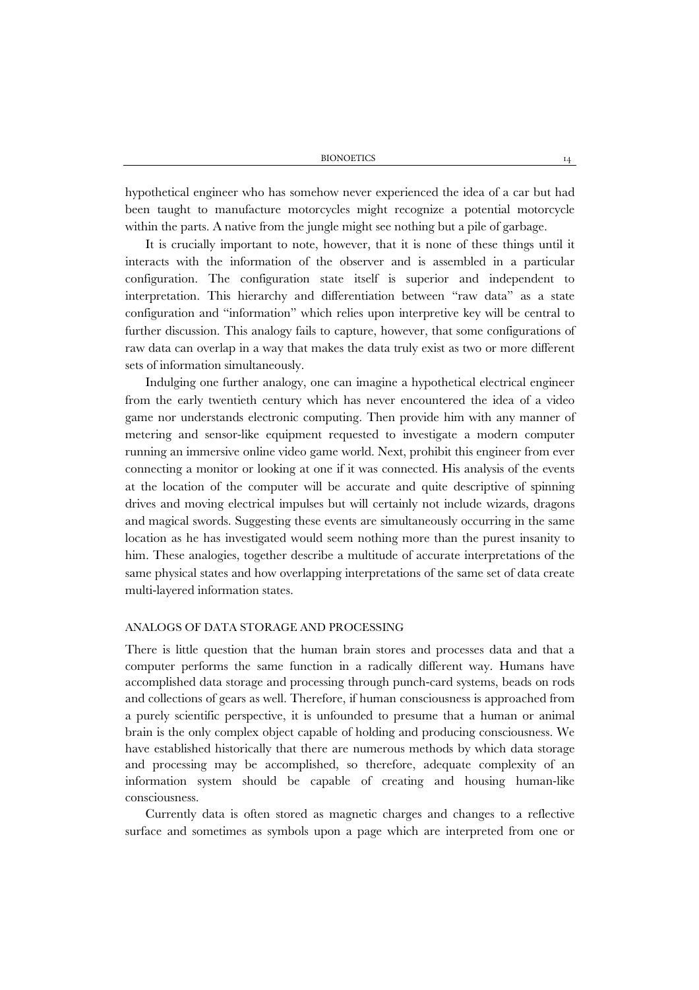hypothetical engineer who has somehow never experienced the idea of a car but had been taught to manufacture motorcycles might recognize a potential motorcycle within the parts. A native from the jungle might see nothing but a pile of garbage.

It is crucially important to note, however, that it is none of these things until it interacts with the information of the observer and is assembled in a particular configuration. The configuration state itself is superior and independent to interpretation. This hierarchy and differentiation between "raw data" as a state configuration and "information" which relies upon interpretive key will be central to further discussion. This analogy fails to capture, however, that some configurations of raw data can overlap in a way that makes the data truly exist as two or more different sets of information simultaneously.

Indulging one further analogy, one can imagine a hypothetical electrical engineer from the early twentieth century which has never encountered the idea of a video game nor understands electronic computing. Then provide him with any manner of metering and sensor-like equipment requested to investigate a modern computer running an immersive online video game world. Next, prohibit this engineer from ever connecting a monitor or looking at one if it was connected. His analysis of the events at the location of the computer will be accurate and quite descriptive of spinning drives and moving electrical impulses but will certainly not include wizards, dragons and magical swords. Suggesting these events are simultaneously occurring in the same location as he has investigated would seem nothing more than the purest insanity to him. These analogies, together describe a multitude of accurate interpretations of the same physical states and how overlapping interpretations of the same set of data create multi-layered information states.

### ANALOGS OF DATA STORAGE AND PROCESSING

There is little question that the human brain stores and processes data and that a computer performs the same function in a radically different way. Humans have accomplished data storage and processing through punch-card systems, beads on rods and collections of gears as well. Therefore, if human consciousness is approached from a purely scientific perspective, it is unfounded to presume that a human or animal brain is the only complex object capable of holding and producing consciousness. We have established historically that there are numerous methods by which data storage and processing may be accomplished, so therefore, adequate complexity of an information system should be capable of creating and housing human-like consciousness.

Currently data is often stored as magnetic charges and changes to a reflective surface and sometimes as symbols upon a page which are interpreted from one or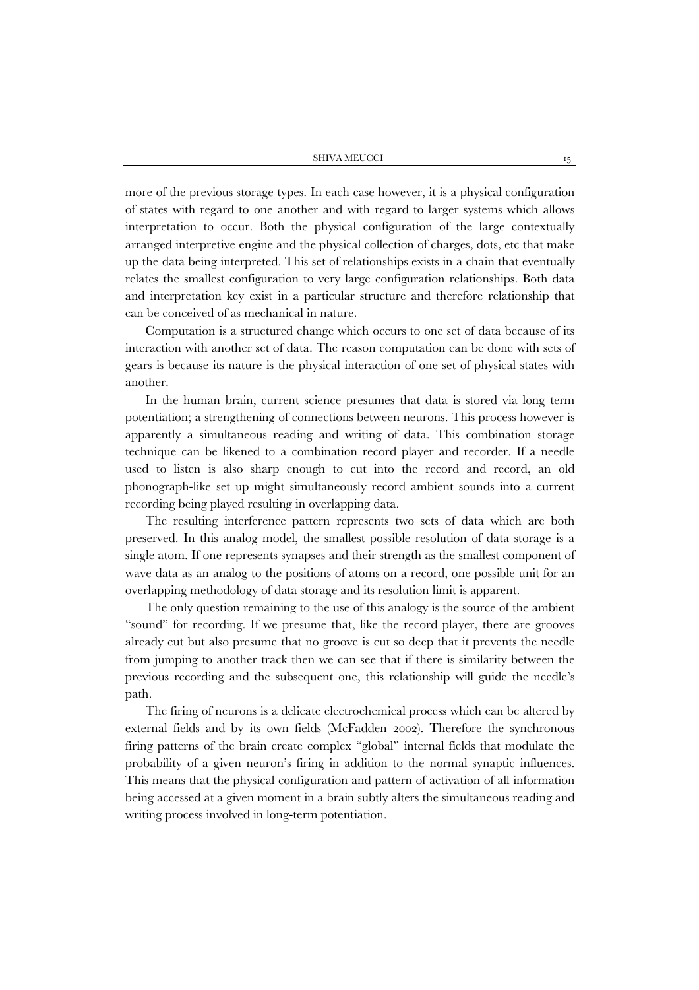more of the previous storage types. In each case however, it is a physical configuration of states with regard to one another and with regard to larger systems which allows interpretation to occur. Both the physical configuration of the large contextually arranged interpretive engine and the physical collection of charges, dots, etc that make up the data being interpreted. This set of relationships exists in a chain that eventually relates the smallest configuration to very large configuration relationships. Both data and interpretation key exist in a particular structure and therefore relationship that can be conceived of as mechanical in nature.

Computation is a structured change which occurs to one set of data because of its interaction with another set of data. The reason computation can be done with sets of gears is because its nature is the physical interaction of one set of physical states with another.

In the human brain, current science presumes that data is stored via long term potentiation; a strengthening of connections between neurons. This process however is apparently a simultaneous reading and writing of data. This combination storage technique can be likened to a combination record player and recorder. If a needle used to listen is also sharp enough to cut into the record and record, an old phonograph-like set up might simultaneously record ambient sounds into a current recording being played resulting in overlapping data.

The resulting interference pattern represents two sets of data which are both preserved. In this analog model, the smallest possible resolution of data storage is a single atom. If one represents synapses and their strength as the smallest component of wave data as an analog to the positions of atoms on a record, one possible unit for an overlapping methodology of data storage and its resolution limit is apparent.

The only question remaining to the use of this analogy is the source of the ambient "sound" for recording. If we presume that, like the record player, there are grooves already cut but also presume that no groove is cut so deep that it prevents the needle from jumping to another track then we can see that if there is similarity between the previous recording and the subsequent one, this relationship will guide the needle's path.

The firing of neurons is a delicate electrochemical process which can be altered by external fields and by its own fields (McFadden 2002). Therefore the synchronous firing patterns of the brain create complex "global" internal fields that modulate the probability of a given neuron's firing in addition to the normal synaptic influences. This means that the physical configuration and pattern of activation of all information being accessed at a given moment in a brain subtly alters the simultaneous reading and writing process involved in long-term potentiation.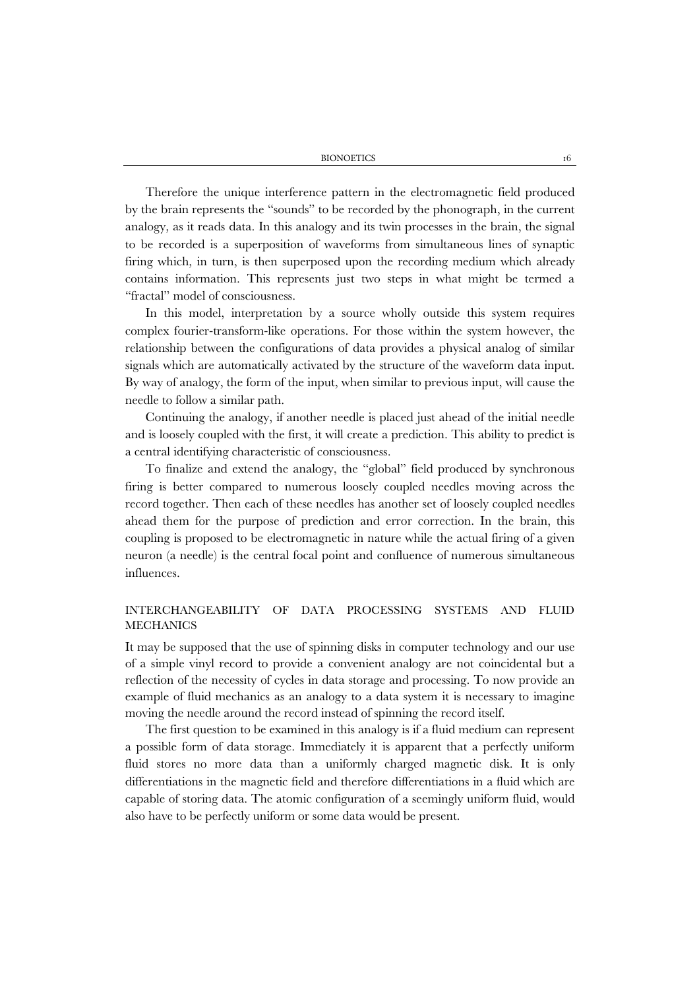Therefore the unique interference pattern in the electromagnetic field produced by the brain represents the "sounds" to be recorded by the phonograph, in the current analogy, as it reads data. In this analogy and its twin processes in the brain, the signal to be recorded is a superposition of waveforms from simultaneous lines of synaptic firing which, in turn, is then superposed upon the recording medium which already contains information. This represents just two steps in what might be termed a "fractal" model of consciousness.

In this model, interpretation by a source wholly outside this system requires complex fourier-transform-like operations. For those within the system however, the relationship between the configurations of data provides a physical analog of similar signals which are automatically activated by the structure of the waveform data input. By way of analogy, the form of the input, when similar to previous input, will cause the needle to follow a similar path.

Continuing the analogy, if another needle is placed just ahead of the initial needle and is loosely coupled with the first, it will create a prediction. This ability to predict is a central identifying characteristic of consciousness.

To finalize and extend the analogy, the "global" field produced by synchronous firing is better compared to numerous loosely coupled needles moving across the record together. Then each of these needles has another set of loosely coupled needles ahead them for the purpose of prediction and error correction. In the brain, this coupling is proposed to be electromagnetic in nature while the actual firing of a given neuron (a needle) is the central focal point and confluence of numerous simultaneous influences.

# INTERCHANGEABILITY OF DATA PROCESSING SYSTEMS AND FLUID **MECHANICS**

It may be supposed that the use of spinning disks in computer technology and our use of a simple vinyl record to provide a convenient analogy are not coincidental but a reflection of the necessity of cycles in data storage and processing. To now provide an example of fluid mechanics as an analogy to a data system it is necessary to imagine moving the needle around the record instead of spinning the record itself.

The first question to be examined in this analogy is if a fluid medium can represent a possible form of data storage. Immediately it is apparent that a perfectly uniform fluid stores no more data than a uniformly charged magnetic disk. It is only differentiations in the magnetic field and therefore differentiations in a fluid which are capable of storing data. The atomic configuration of a seemingly uniform fluid, would also have to be perfectly uniform or some data would be present.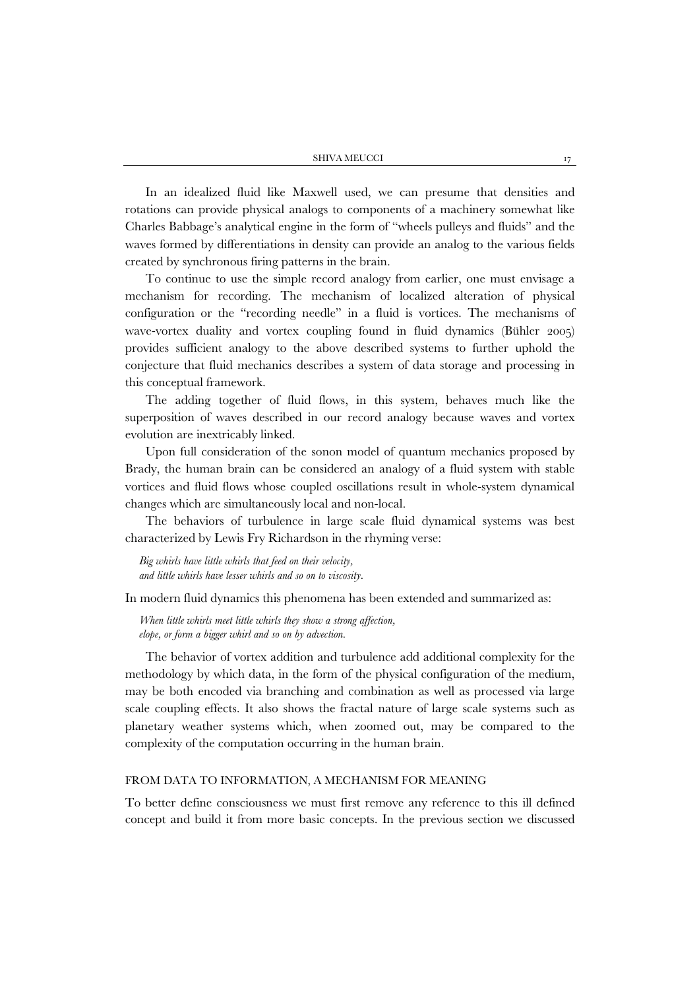In an idealized fluid like Maxwell used, we can presume that densities and rotations can provide physical analogs to components of a machinery somewhat like Charles Babbage's analytical engine in the form of "wheels pulleys and fluids" and the waves formed by differentiations in density can provide an analog to the various fields created by synchronous firing patterns in the brain.

To continue to use the simple record analogy from earlier, one must envisage a mechanism for recording. The mechanism of localized alteration of physical configuration or the "recording needle" in a fluid is vortices. The mechanisms of wave-vortex duality and vortex coupling found in fluid dynamics (Bühler 2005) provides sufficient analogy to the above described systems to further uphold the conjecture that fluid mechanics describes a system of data storage and processing in this conceptual framework.

The adding together of fluid flows, in this system, behaves much like the superposition of waves described in our record analogy because waves and vortex evolution are inextricably linked.

Upon full consideration of the sonon model of quantum mechanics proposed by Brady, the human brain can be considered an analogy of a fluid system with stable vortices and fluid flows whose coupled oscillations result in whole-system dynamical changes which are simultaneously local and non-local.

The behaviors of turbulence in large scale fluid dynamical systems was best characterized by Lewis Fry Richardson in the rhyming verse:

*Big whirls have little whirls that feed on their velocity, and little whirls have lesser whirls and so on to viscosity.* 

In modern fluid dynamics this phenomena has been extended and summarized as:

*When little whirls meet little whirls they show a strong affection, elope, or form a bigger whirl and so on by advection.*

The behavior of vortex addition and turbulence add additional complexity for the methodology by which data, in the form of the physical configuration of the medium, may be both encoded via branching and combination as well as processed via large scale coupling effects. It also shows the fractal nature of large scale systems such as planetary weather systems which, when zoomed out, may be compared to the complexity of the computation occurring in the human brain.

#### FROM DATA TO INFORMATION, A MECHANISM FOR MEANING

To better define consciousness we must first remove any reference to this ill defined concept and build it from more basic concepts. In the previous section we discussed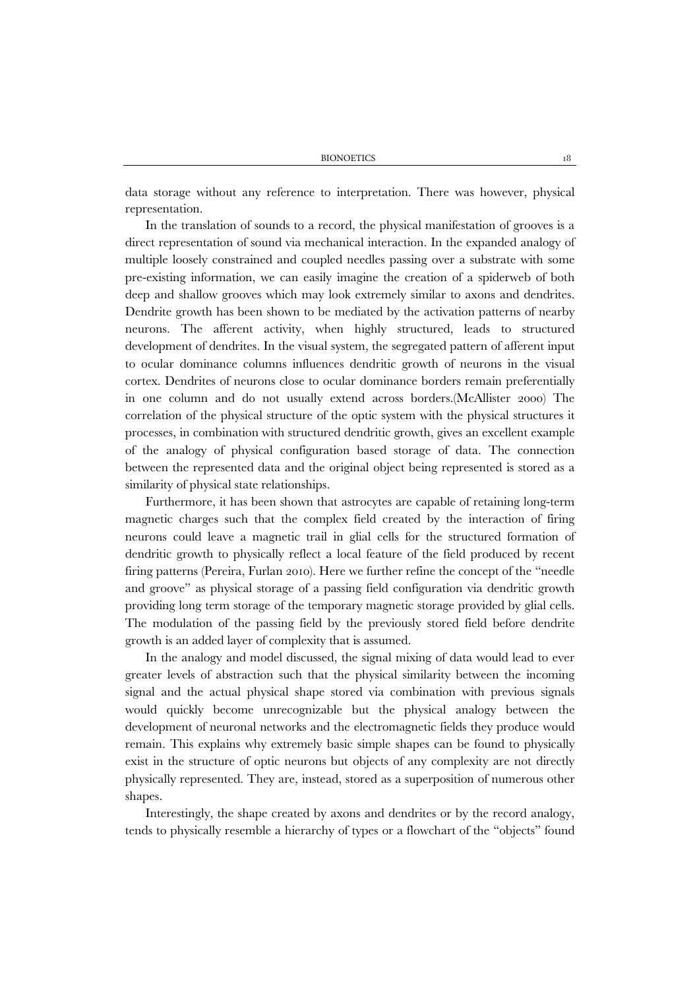data storage without any reference to interpretation. There was however, physical representation.

In the translation of sounds to a record, the physical manifestation of grooves is a direct representation of sound via mechanical interaction. In the expanded analogy of multiple loosely constrained and coupled needles passing over a substrate with some pre-existing information, we can easily imagine the creation of a spiderweb of both deep and shallow grooves which may look extremely similar to axons and dendrites. Dendrite growth has been shown to be mediated by the activation patterns of nearby neurons. The afferent activity, when highly structured, leads to structured development of dendrites. In the visual system, the segregated pattern of afferent input to ocular dominance columns influences dendritic growth of neurons in the visual cortex. Dendrites of neurons close to ocular dominance borders remain preferentially in one column and do not usually extend across borders.(McAllister 2000) The correlation of the physical structure of the optic system with the physical structures it processes, in combination with structured dendritic growth, gives an excellent example of the analogy of physical configuration based storage of data. The connection between the represented data and the original object being represented is stored as a similarity of physical state relationships.

Furthermore, it has been shown that astrocytes are capable of retaining long-term magnetic charges such that the complex field created by the interaction of firing neurons could leave a magnetic trail in glial cells for the structured formation of dendritic growth to physically reflect a local feature of the field produced by recent firing patterns (Pereira, Furlan 2010). Here we further refine the concept of the "needle and groove" as physical storage of a passing field configuration via dendritic growth providing long term storage of the temporary magnetic storage provided by glial cells. The modulation of the passing field by the previously stored field before dendrite growth is an added layer of complexity that is assumed.

In the analogy and model discussed, the signal mixing of data would lead to ever greater levels of abstraction such that the physical similarity between the incoming signal and the actual physical shape stored via combination with previous signals would quickly become unrecognizable but the physical analogy between the development of neuronal networks and the electromagnetic fields they produce would remain. This explains why extremely basic simple shapes can be found to physically exist in the structure of optic neurons but objects of any complexity are not directly physically represented. They are, instead, stored as a superposition of numerous other shapes.

Interestingly, the shape created by axons and dendrites or by the record analogy, tends to physically resemble a hierarchy of types or a flowchart of the "objects" found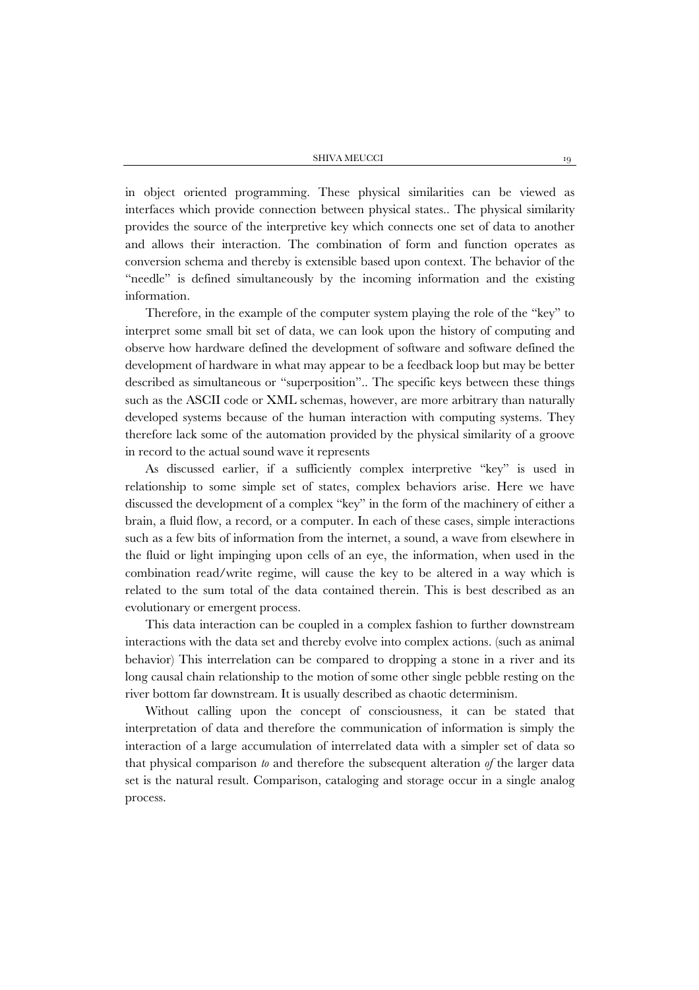SHIVA MEUCCI 19

in object oriented programming. These physical similarities can be viewed as interfaces which provide connection between physical states.. The physical similarity provides the source of the interpretive key which connects one set of data to another and allows their interaction. The combination of form and function operates as conversion schema and thereby is extensible based upon context. The behavior of the "needle" is defined simultaneously by the incoming information and the existing information.

Therefore, in the example of the computer system playing the role of the "key" to interpret some small bit set of data, we can look upon the history of computing and observe how hardware defined the development of software and software defined the development of hardware in what may appear to be a feedback loop but may be better described as simultaneous or "superposition".. The specific keys between these things such as the ASCII code or XML schemas, however, are more arbitrary than naturally developed systems because of the human interaction with computing systems. They therefore lack some of the automation provided by the physical similarity of a groove in record to the actual sound wave it represents

As discussed earlier, if a sufficiently complex interpretive "key" is used in relationship to some simple set of states, complex behaviors arise. Here we have discussed the development of a complex "key" in the form of the machinery of either a brain, a fluid flow, a record, or a computer. In each of these cases, simple interactions such as a few bits of information from the internet, a sound, a wave from elsewhere in the fluid or light impinging upon cells of an eye, the information, when used in the combination read/write regime, will cause the key to be altered in a way which is related to the sum total of the data contained therein. This is best described as an evolutionary or emergent process.

This data interaction can be coupled in a complex fashion to further downstream interactions with the data set and thereby evolve into complex actions. (such as animal behavior) This interrelation can be compared to dropping a stone in a river and its long causal chain relationship to the motion of some other single pebble resting on the river bottom far downstream. It is usually described as chaotic determinism.

Without calling upon the concept of consciousness, it can be stated that interpretation of data and therefore the communication of information is simply the interaction of a large accumulation of interrelated data with a simpler set of data so that physical comparison *to* and therefore the subsequent alteration *of* the larger data set is the natural result. Comparison, cataloging and storage occur in a single analog process.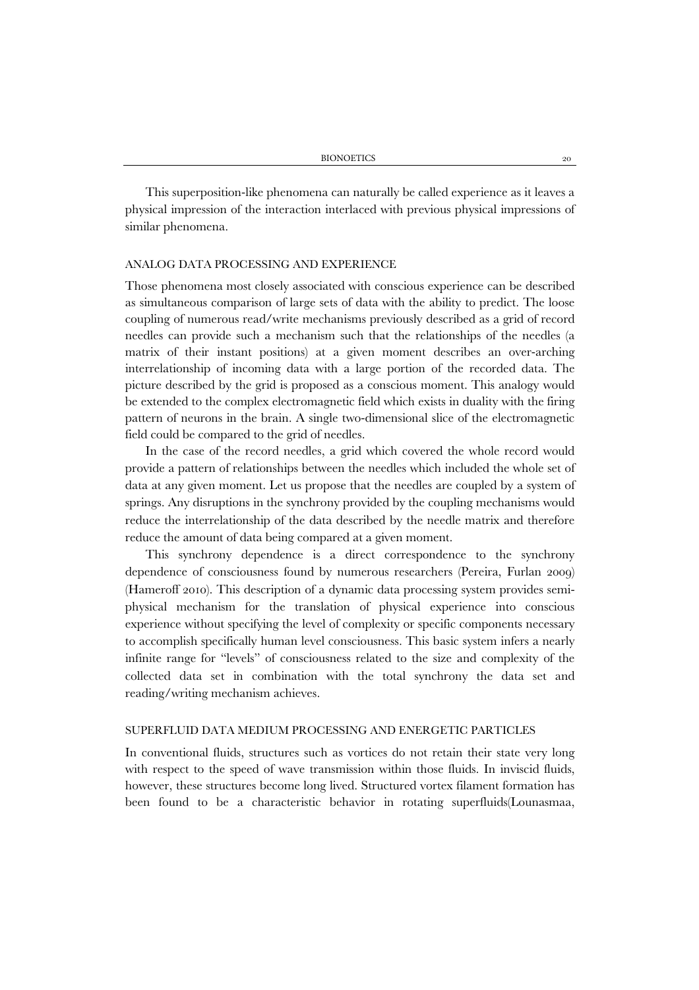This superposition-like phenomena can naturally be called experience as it leaves a physical impression of the interaction interlaced with previous physical impressions of similar phenomena.

#### ANALOG DATA PROCESSING AND EXPERIENCE

Those phenomena most closely associated with conscious experience can be described as simultaneous comparison of large sets of data with the ability to predict. The loose coupling of numerous read/write mechanisms previously described as a grid of record needles can provide such a mechanism such that the relationships of the needles (a matrix of their instant positions) at a given moment describes an over-arching interrelationship of incoming data with a large portion of the recorded data. The picture described by the grid is proposed as a conscious moment. This analogy would be extended to the complex electromagnetic field which exists in duality with the firing pattern of neurons in the brain. A single two-dimensional slice of the electromagnetic field could be compared to the grid of needles.

In the case of the record needles, a grid which covered the whole record would provide a pattern of relationships between the needles which included the whole set of data at any given moment. Let us propose that the needles are coupled by a system of springs. Any disruptions in the synchrony provided by the coupling mechanisms would reduce the interrelationship of the data described by the needle matrix and therefore reduce the amount of data being compared at a given moment.

This synchrony dependence is a direct correspondence to the synchrony dependence of consciousness found by numerous researchers (Pereira, Furlan 2009) (Hameroff 2010). This description of a dynamic data processing system provides semiphysical mechanism for the translation of physical experience into conscious experience without specifying the level of complexity or specific components necessary to accomplish specifically human level consciousness. This basic system infers a nearly infinite range for "levels" of consciousness related to the size and complexity of the collected data set in combination with the total synchrony the data set and reading/writing mechanism achieves.

# SUPERFLUID DATA MEDIUM PROCESSING AND ENERGETIC PARTICLES

In conventional fluids, structures such as vortices do not retain their state very long with respect to the speed of wave transmission within those fluids. In inviscid fluids, however, these structures become long lived. Structured vortex filament formation has been found to be a characteristic behavior in rotating superfluids(Lounasmaa,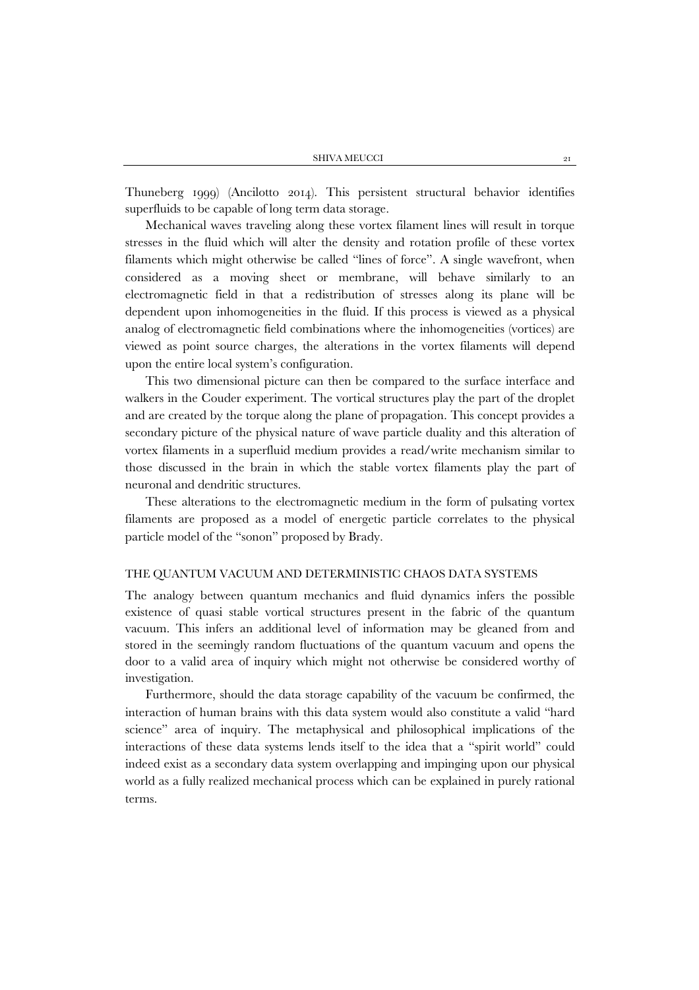Thuneberg 1999) (Ancilotto 2014). This persistent structural behavior identifies superfluids to be capable of long term data storage.

Mechanical waves traveling along these vortex filament lines will result in torque stresses in the fluid which will alter the density and rotation profile of these vortex filaments which might otherwise be called "lines of force". A single wavefront, when considered as a moving sheet or membrane, will behave similarly to an electromagnetic field in that a redistribution of stresses along its plane will be dependent upon inhomogeneities in the fluid. If this process is viewed as a physical analog of electromagnetic field combinations where the inhomogeneities (vortices) are viewed as point source charges, the alterations in the vortex filaments will depend upon the entire local system's configuration.

This two dimensional picture can then be compared to the surface interface and walkers in the Couder experiment. The vortical structures play the part of the droplet and are created by the torque along the plane of propagation. This concept provides a secondary picture of the physical nature of wave particle duality and this alteration of vortex filaments in a superfluid medium provides a read/write mechanism similar to those discussed in the brain in which the stable vortex filaments play the part of neuronal and dendritic structures.

These alterations to the electromagnetic medium in the form of pulsating vortex filaments are proposed as a model of energetic particle correlates to the physical particle model of the "sonon" proposed by Brady.

## THE QUANTUM VACUUM AND DETERMINISTIC CHAOS DATA SYSTEMS

The analogy between quantum mechanics and fluid dynamics infers the possible existence of quasi stable vortical structures present in the fabric of the quantum vacuum. This infers an additional level of information may be gleaned from and stored in the seemingly random fluctuations of the quantum vacuum and opens the door to a valid area of inquiry which might not otherwise be considered worthy of investigation.

Furthermore, should the data storage capability of the vacuum be confirmed, the interaction of human brains with this data system would also constitute a valid "hard science" area of inquiry. The metaphysical and philosophical implications of the interactions of these data systems lends itself to the idea that a "spirit world" could indeed exist as a secondary data system overlapping and impinging upon our physical world as a fully realized mechanical process which can be explained in purely rational terms.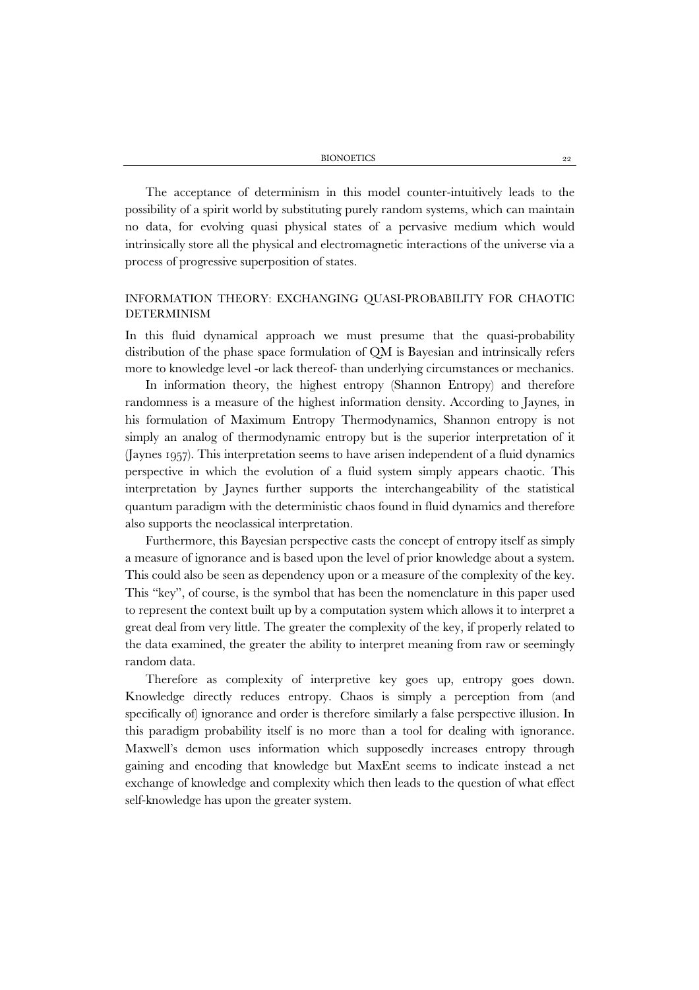The acceptance of determinism in this model counter-intuitively leads to the possibility of a spirit world by substituting purely random systems, which can maintain no data, for evolving quasi physical states of a pervasive medium which would intrinsically store all the physical and electromagnetic interactions of the universe via a process of progressive superposition of states.

# INFORMATION THEORY: EXCHANGING QUASI-PROBABILITY FOR CHAOTIC DETERMINISM

In this fluid dynamical approach we must presume that the quasi-probability distribution of the phase space formulation of QM is Bayesian and intrinsically refers more to knowledge level -or lack thereof- than underlying circumstances or mechanics.

In information theory, the highest entropy (Shannon Entropy) and therefore randomness is a measure of the highest information density. According to Jaynes, in his formulation of Maximum Entropy Thermodynamics, Shannon entropy is not simply an analog of thermodynamic entropy but is the superior interpretation of it (Jaynes 1957). This interpretation seems to have arisen independent of a fluid dynamics perspective in which the evolution of a fluid system simply appears chaotic. This interpretation by Jaynes further supports the interchangeability of the statistical quantum paradigm with the deterministic chaos found in fluid dynamics and therefore also supports the neoclassical interpretation.

Furthermore, this Bayesian perspective casts the concept of entropy itself as simply a measure of ignorance and is based upon the level of prior knowledge about a system. This could also be seen as dependency upon or a measure of the complexity of the key. This "key", of course, is the symbol that has been the nomenclature in this paper used to represent the context built up by a computation system which allows it to interpret a great deal from very little. The greater the complexity of the key, if properly related to the data examined, the greater the ability to interpret meaning from raw or seemingly random data.

Therefore as complexity of interpretive key goes up, entropy goes down. Knowledge directly reduces entropy. Chaos is simply a perception from (and specifically of) ignorance and order is therefore similarly a false perspective illusion. In this paradigm probability itself is no more than a tool for dealing with ignorance. Maxwell's demon uses information which supposedly increases entropy through gaining and encoding that knowledge but MaxEnt seems to indicate instead a net exchange of knowledge and complexity which then leads to the question of what effect self-knowledge has upon the greater system.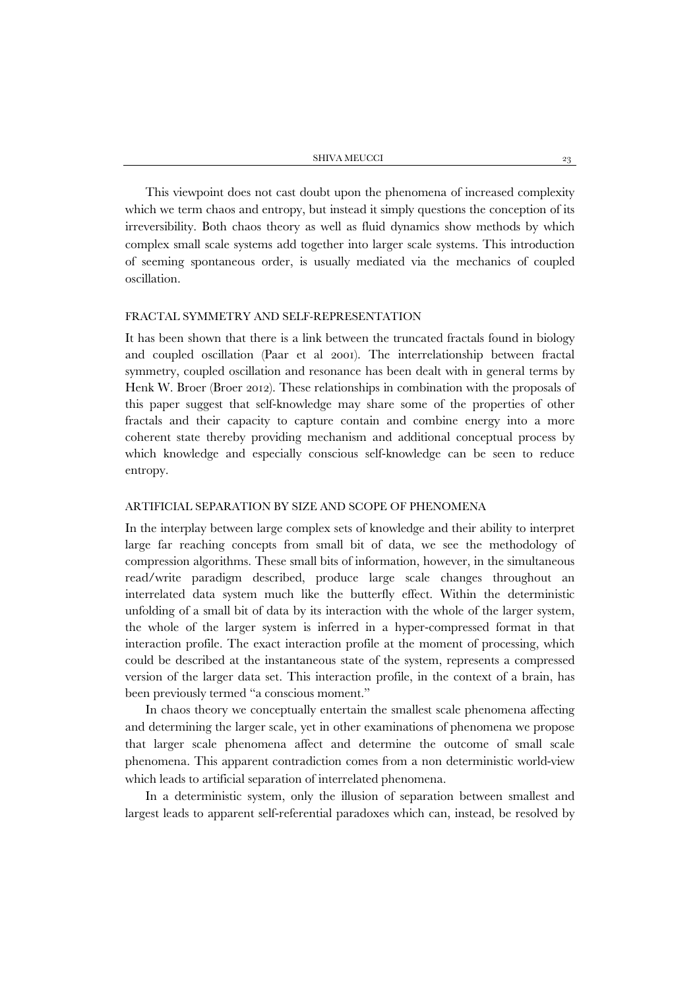This viewpoint does not cast doubt upon the phenomena of increased complexity which we term chaos and entropy, but instead it simply questions the conception of its irreversibility. Both chaos theory as well as fluid dynamics show methods by which complex small scale systems add together into larger scale systems. This introduction of seeming spontaneous order, is usually mediated via the mechanics of coupled oscillation.

#### FRACTAL SYMMETRY AND SELF-REPRESENTATION

It has been shown that there is a link between the truncated fractals found in biology and coupled oscillation (Paar et al 2001). The interrelationship between fractal symmetry, coupled oscillation and resonance has been dealt with in general terms by Henk W. Broer (Broer 2012). These relationships in combination with the proposals of this paper suggest that self-knowledge may share some of the properties of other fractals and their capacity to capture contain and combine energy into a more coherent state thereby providing mechanism and additional conceptual process by which knowledge and especially conscious self-knowledge can be seen to reduce entropy.

# ARTIFICIAL SEPARATION BY SIZE AND SCOPE OF PHENOMENA

In the interplay between large complex sets of knowledge and their ability to interpret large far reaching concepts from small bit of data, we see the methodology of compression algorithms. These small bits of information, however, in the simultaneous read/write paradigm described, produce large scale changes throughout an interrelated data system much like the butterfly effect. Within the deterministic unfolding of a small bit of data by its interaction with the whole of the larger system, the whole of the larger system is inferred in a hyper-compressed format in that interaction profile. The exact interaction profile at the moment of processing, which could be described at the instantaneous state of the system, represents a compressed version of the larger data set. This interaction profile, in the context of a brain, has been previously termed "a conscious moment."

In chaos theory we conceptually entertain the smallest scale phenomena affecting and determining the larger scale, yet in other examinations of phenomena we propose that larger scale phenomena affect and determine the outcome of small scale phenomena. This apparent contradiction comes from a non deterministic world-view which leads to artificial separation of interrelated phenomena.

In a deterministic system, only the illusion of separation between smallest and largest leads to apparent self-referential paradoxes which can, instead, be resolved by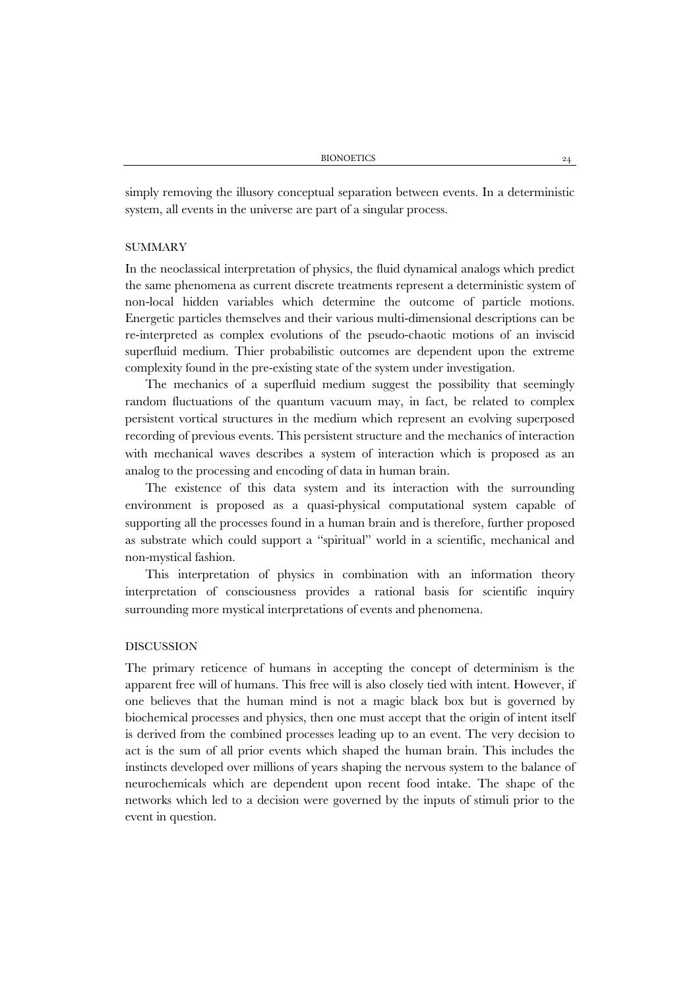simply removing the illusory conceptual separation between events. In a deterministic system, all events in the universe are part of a singular process.

#### SUMMARY

In the neoclassical interpretation of physics, the fluid dynamical analogs which predict the same phenomena as current discrete treatments represent a deterministic system of non-local hidden variables which determine the outcome of particle motions. Energetic particles themselves and their various multi-dimensional descriptions can be re-interpreted as complex evolutions of the pseudo-chaotic motions of an inviscid superfluid medium. Thier probabilistic outcomes are dependent upon the extreme complexity found in the pre-existing state of the system under investigation.

The mechanics of a superfluid medium suggest the possibility that seemingly random fluctuations of the quantum vacuum may, in fact, be related to complex persistent vortical structures in the medium which represent an evolving superposed recording of previous events. This persistent structure and the mechanics of interaction with mechanical waves describes a system of interaction which is proposed as an analog to the processing and encoding of data in human brain.

The existence of this data system and its interaction with the surrounding environment is proposed as a quasi-physical computational system capable of supporting all the processes found in a human brain and is therefore, further proposed as substrate which could support a "spiritual" world in a scientific, mechanical and non-mystical fashion.

This interpretation of physics in combination with an information theory interpretation of consciousness provides a rational basis for scientific inquiry surrounding more mystical interpretations of events and phenomena.

#### DISCUSSION

The primary reticence of humans in accepting the concept of determinism is the apparent free will of humans. This free will is also closely tied with intent. However, if one believes that the human mind is not a magic black box but is governed by biochemical processes and physics, then one must accept that the origin of intent itself is derived from the combined processes leading up to an event. The very decision to act is the sum of all prior events which shaped the human brain. This includes the instincts developed over millions of years shaping the nervous system to the balance of neurochemicals which are dependent upon recent food intake. The shape of the networks which led to a decision were governed by the inputs of stimuli prior to the event in question.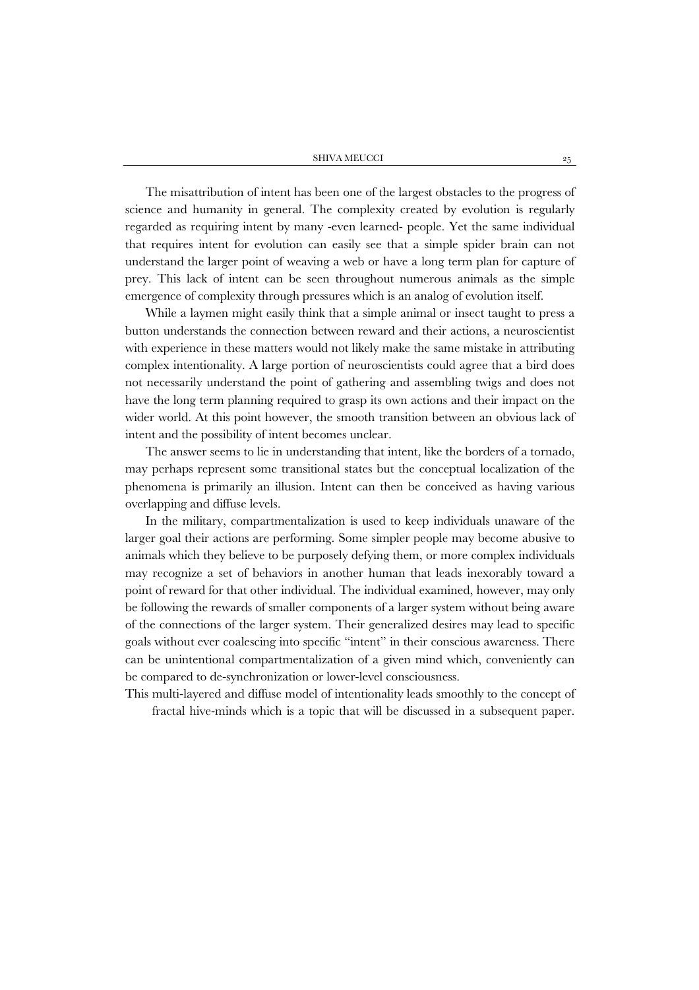The misattribution of intent has been one of the largest obstacles to the progress of science and humanity in general. The complexity created by evolution is regularly regarded as requiring intent by many -even learned- people. Yet the same individual that requires intent for evolution can easily see that a simple spider brain can not understand the larger point of weaving a web or have a long term plan for capture of prey. This lack of intent can be seen throughout numerous animals as the simple emergence of complexity through pressures which is an analog of evolution itself.

While a laymen might easily think that a simple animal or insect taught to press a button understands the connection between reward and their actions, a neuroscientist with experience in these matters would not likely make the same mistake in attributing complex intentionality. A large portion of neuroscientists could agree that a bird does not necessarily understand the point of gathering and assembling twigs and does not have the long term planning required to grasp its own actions and their impact on the wider world. At this point however, the smooth transition between an obvious lack of intent and the possibility of intent becomes unclear.

The answer seems to lie in understanding that intent, like the borders of a tornado, may perhaps represent some transitional states but the conceptual localization of the phenomena is primarily an illusion. Intent can then be conceived as having various overlapping and diffuse levels.

In the military, compartmentalization is used to keep individuals unaware of the larger goal their actions are performing. Some simpler people may become abusive to animals which they believe to be purposely defying them, or more complex individuals may recognize a set of behaviors in another human that leads inexorably toward a point of reward for that other individual. The individual examined, however, may only be following the rewards of smaller components of a larger system without being aware of the connections of the larger system. Their generalized desires may lead to specific goals without ever coalescing into specific "intent" in their conscious awareness. There can be unintentional compartmentalization of a given mind which, conveniently can be compared to de-synchronization or lower-level consciousness.

This multi-layered and diffuse model of intentionality leads smoothly to the concept of fractal hive-minds which is a topic that will be discussed in a subsequent paper.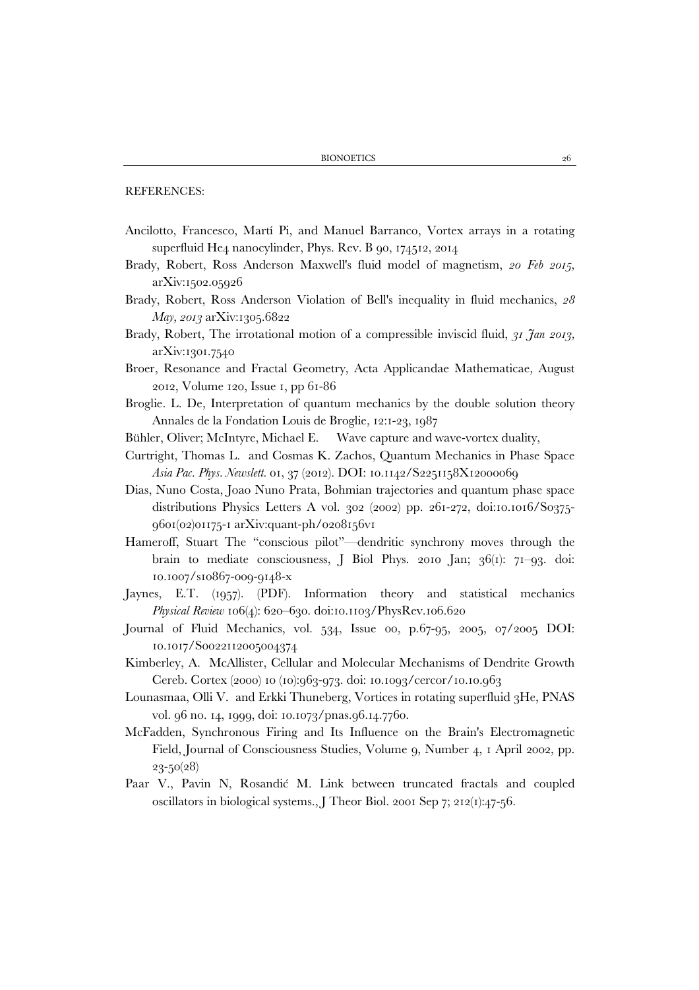REFERENCES:

- Ancilotto, Francesco, Martí Pi, and Manuel Barranco, Vortex arrays in a rotating superfluid He4 nanocylinder, Phys. Rev. B 90, 174512, 2014
- Brady, Robert, Ross Anderson Maxwell's fluid model of magnetism, *20 Feb 2015,*  arXiv:1502.05926
- Brady, Robert, Ross Anderson Violation of Bell's inequality in fluid mechanics, *28 May, 2013* arXiv:1305.6822
- Brady, Robert, The irrotational motion of a compressible inviscid fluid, *31 Jan 2013,*  arXiv:1301.7540
- Broer, Resonance and Fractal Geometry, Acta Applicandae Mathematicae, August 2012, Volume 120, Issue 1, pp 61-86
- Broglie. L. De, Interpretation of quantum mechanics by the double solution theory Annales de la Fondation Louis de Broglie, 12:1-23, 1987
- Bühler, Oliver; McIntyre, Michael E. Wave capture and wave-vortex duality,
- Curtright, Thomas L. and Cosmas K. Zachos, Quantum Mechanics in Phase Space *Asia Pac. Phys. Newslett.* 01, 37 (2012). DOI: 10.1142/S2251158X12000069
- Dias, Nuno Costa, Joao Nuno Prata, Bohmian trajectories and quantum phase space distributions Physics Letters A vol. 302 (2002) pp. 261-272, doi:10.1016/S0375- 9601(02)01175-1 arXiv:quant-ph/0208156v1
- Hameroff, Stuart The "conscious pilot"—dendritic synchrony moves through the brain to mediate consciousness, J Biol Phys. 2010 Jan; 36(1): 71–93. doi: 10.1007/s10867-009-9148-x
- Jaynes, E.T. (1957). (PDF). Information theory and statistical mechanics *Physical Review* 106(4): 620–630. doi:10.1103/PhysRev.106.620
- Journal of Fluid Mechanics, vol. 534, Issue 00, p.67-95, 2005, 07/2005 DOI: 10.1017/S0022112005004374
- Kimberley, A. McAllister, Cellular and Molecular Mechanisms of Dendrite Growth Cereb. Cortex (2000) 10 (10):963-973. doi: 10.1093/cercor/10.10.963
- Lounasmaa, Olli V. and Erkki Thuneberg, Vortices in rotating superfluid 3He, PNAS vol. 96 no. 14, 1999, doi: 10.1073/pnas.96.14.7760.
- McFadden, Synchronous Firing and Its Influence on the Brain's Electromagnetic Field, Journal of Consciousness Studies, Volume 9, Number 4, 1 April 2002, pp. 23-50(28)
- Paar V., Pavin N, Rosandić M. Link between truncated fractals and coupled oscillators in biological systems., J Theor Biol. 2001 Sep 7; 212(1):47-56.